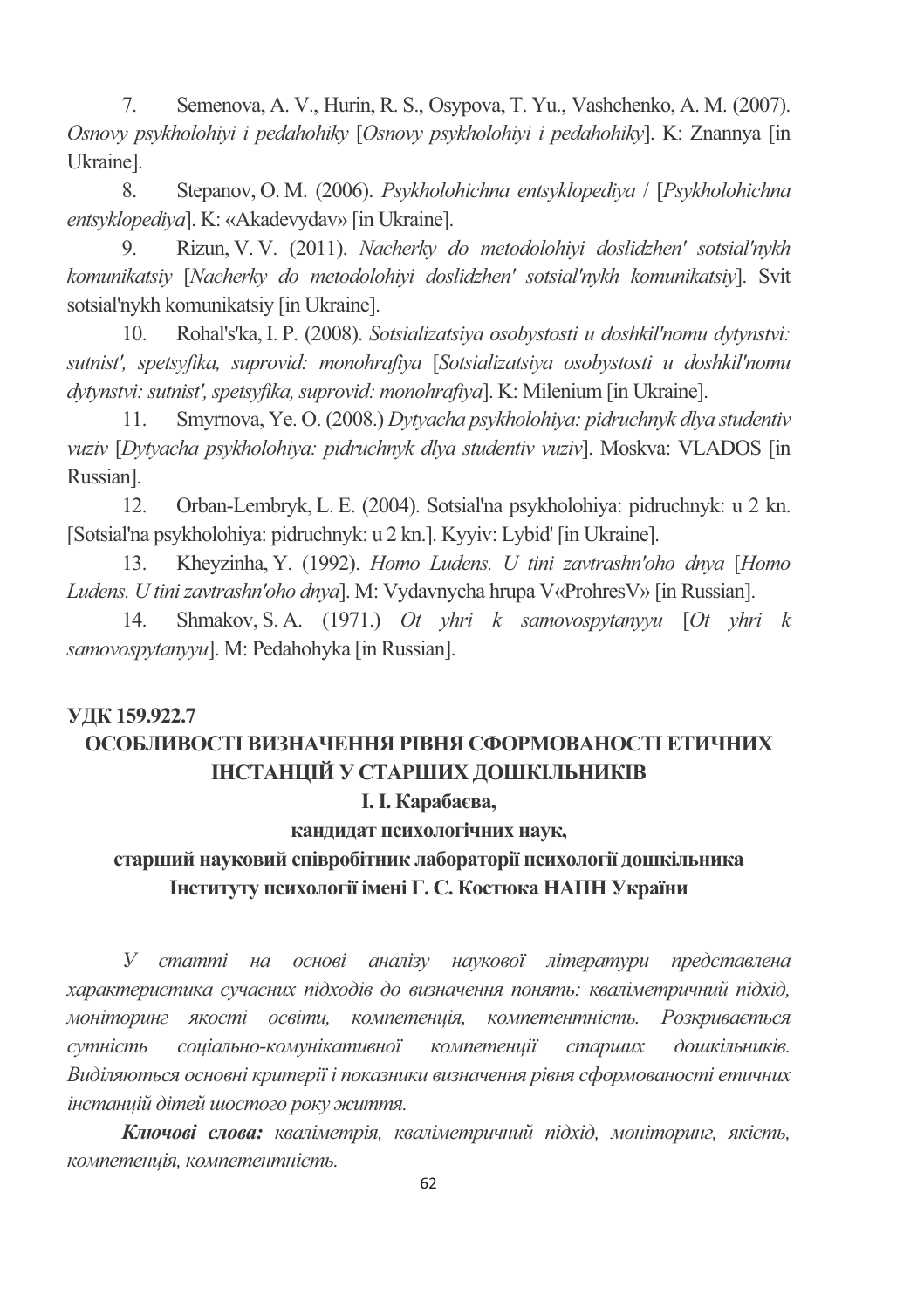7. Semenova, A. V., Hurin, R. S., Osypova, T. Yu., Vashchenko, A. M. (2007). *Osnovy psykholohiyi i pedahohiky* [*Osnovy psykholohiyi i pedahohiky*]. K: Znannya [in Ukraine].

8. Stepanov, O. M. (2006). *Psykholohichna entsyklopediya* / [*Psykholohichna entsyklopediya*]. K: «Akadevydav» [in Ukraine].

9. Rizun, V. V. (2011). *Nacherky do metodolohiyi doslidzhen' sotsial'nykh komunikatsiy* [*Nacherky do metodolohiyi doslidzhen' sotsial'nykh komunikatsiy*]. Svit sotsial'nykh komunikatsiy [in Ukraine].

10. Rohal's'ka, I. P. (2008). *Sotsializatsiya osobystosti u doshkil'nomu dytynstvi: sutnist', spetsyfika, suprovid: monohrafiya* [*Sotsializatsiya osobystosti u doshkil'nomu dytynstvi: sutnist', spetsyfika, suprovid: monohrafiya*]. K: Milenium [in Ukraine].

11. Smyrnova, Ye. O. (2008.) *Dytyacha psykholohiya: pidruchnyk dlya studentiv vuziv* [*Dytyacha psykholohiya: pidruchnyk dlya studentiv vuziv*]. Moskva: VLADOS [in Russian].

12. Orban-Lembryk, L. E. (2004). Sotsial'na psykholohiya: pidruchnyk: u 2 kn. [Sotsial'na psykholohiya: pidruchnyk: u 2 kn.]. Kyyiv: Lybid' [in Ukraine].

13. Kheyzinha, Y. (1992). *Homo Ludens. U tini zavtrashn'oho dnya* [*Homo Ludens. U tini zavtrashn'oho dnya*]. M: Vydavnycha hrupa V«ProhresV» [in Russian].

14. Shmakov, S. A. (1971.) *Ot yhri k samovospytanyyu* [*Ot yhri k samovospytanyyu*]. M: Pedahohyka [in Russian].

#### **УЛК 159.922.7**

# ОСОБЛИВОСТІ ВИЗНАЧЕННЯ РІВНЯ СФОРМОВАНОСТІ ЕТИЧНИХ ІНСТАНЦІЙ У СТАРШИХ ДОШКІЛЬНИКІВ

## **І.** І. Карабаєва,

### кандидат психологічних наук,

## старший науковий співробітник лабораторії психології дошкільника Інституту психології імені Г. С. Костюка НАПН України

*Q*  характеристика сучасних підходів до визначення понять: кваліметричний підхід, *моніторинг якості освіти, компетениія, компетентність. Розкривається couiaльно-комунікативної компетениїї старших дошкільників.* Виділяються основні критерії і показники визначення рівня сформованості етичних інстанцій дітей шостого року життя.

Ключові слова: кваліметрія, кваліметричний підхід, моніторинг, якість, *компетенијя, компетентність.*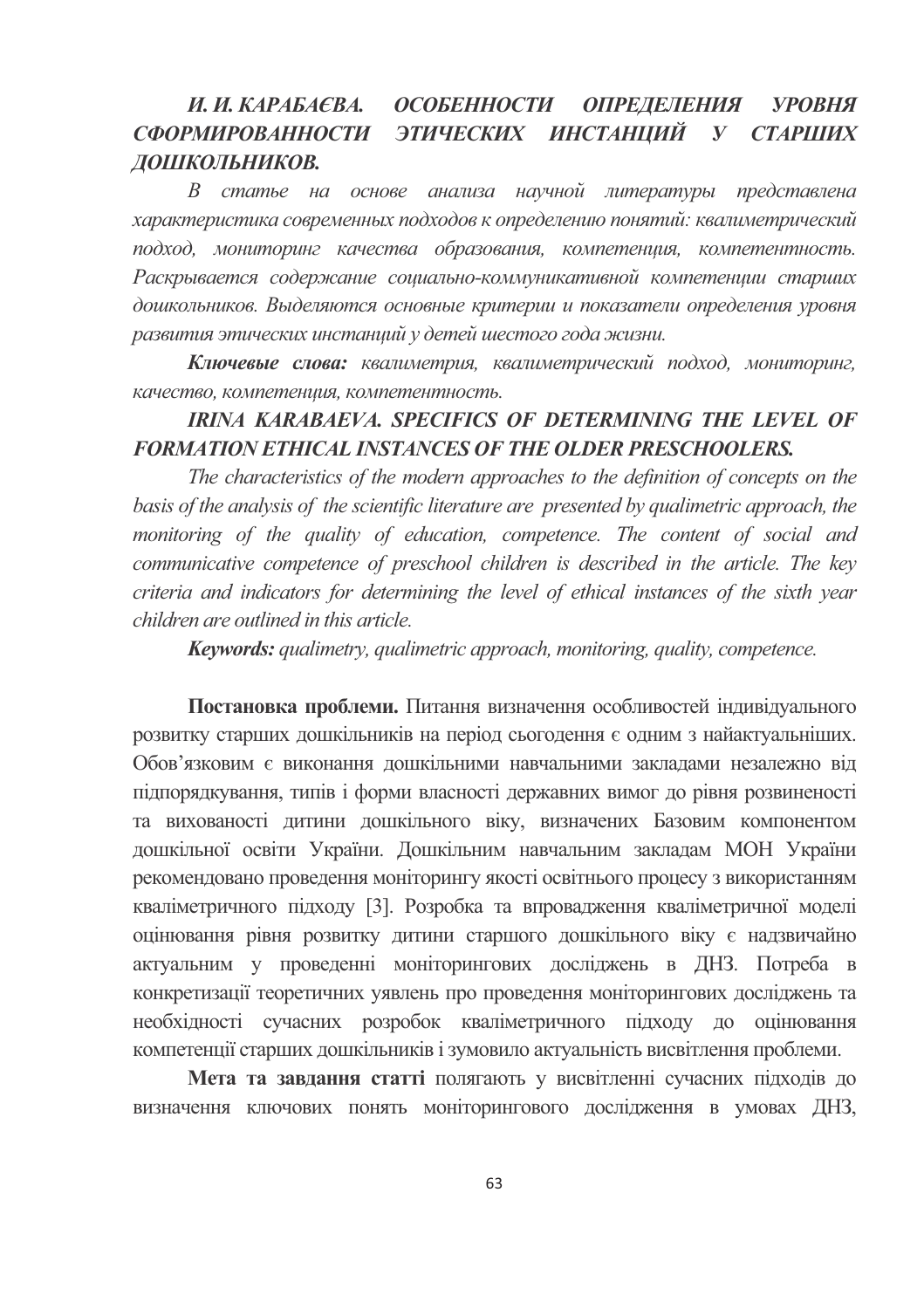#### И. И. КАРАБАЄВА. ОСОБЕННОСТИ ОПРЕДЕЛЕНИЯ **УРОВНЯ СФОРМИРОВАННОСТИ** ЭТИЧЕСКИХ ИНСТАНЦИЙ У СТАРШИХ ЛОШКОЛЬНИКОВ.

В статье на основе анализа научной литературы представлена характеристика современных подходов к определению понятий: квалиметрический подход, мониторинг качества образования, компетенция, компетентность. Раскрывается содержание социально-коммуникативной компетениии старших дошкольников. Выделяются основные критерии и показатели определения уровня развития этических инстанций у детей шестого года жизни.

Ключевые слова: квалиметрия, квалиметрический подход, мониторинг, качество, компетениия, компетентность,

## **IRINA KARABAEVA, SPECIFICS OF DETERMINING THE LEVEL OF FORMATION ETHICAL INSTANCES OF THE OLDER PRESCHOOLERS.**

The characteristics of the modern approaches to the definition of concepts on the basis of the analysis of the scientific literature are presented by qualimetric approach, the monitoring of the quality of education, competence. The content of social and communicative competence of preschool children is described in the article. The key criteria and indicators for determining the level of ethical instances of the sixth year children are outlined in this article.

**Keywords:** qualimetry, qualimetric approach, monitoring, quality, competence.

Постановка проблеми. Питання визначення особливостей індивідуального розвитку старших дошкільників на період сьогодення є одним з найактуальніших. Обов'язковим є виконання дошкільними навчальними закладами незалежно від підпорядкування, типів і форми власності державних вимог до рівня розвиненості та вихованості дитини дошкільного віку, визначених Базовим компонентом дошкільної освіти України. Дошкільним навчальним закладам МОН України рекомендовано проведення моніторингу якості освітнього процесу з використанням кваліметричного підходу [3]. Розробка та впровадження кваліметричної моделі оцінювання рівня розвитку дитини старшого дошкільного віку є надзвичайно актуальним у проведенні моніторингових досліджень в ДНЗ. Потреба в конкретизації теоретичних уявлень про проведення моніторингових досліджень та необхідності сучасних розробок кваліметричного підходу до оцінювання компетенції старших дошкільників і зумовило актуальність висвітлення проблеми.

Мета та завдання статті полягають у висвітленні сучасних підходів до визначення ключових понять моніторингового дослідження в умовах ДНЗ,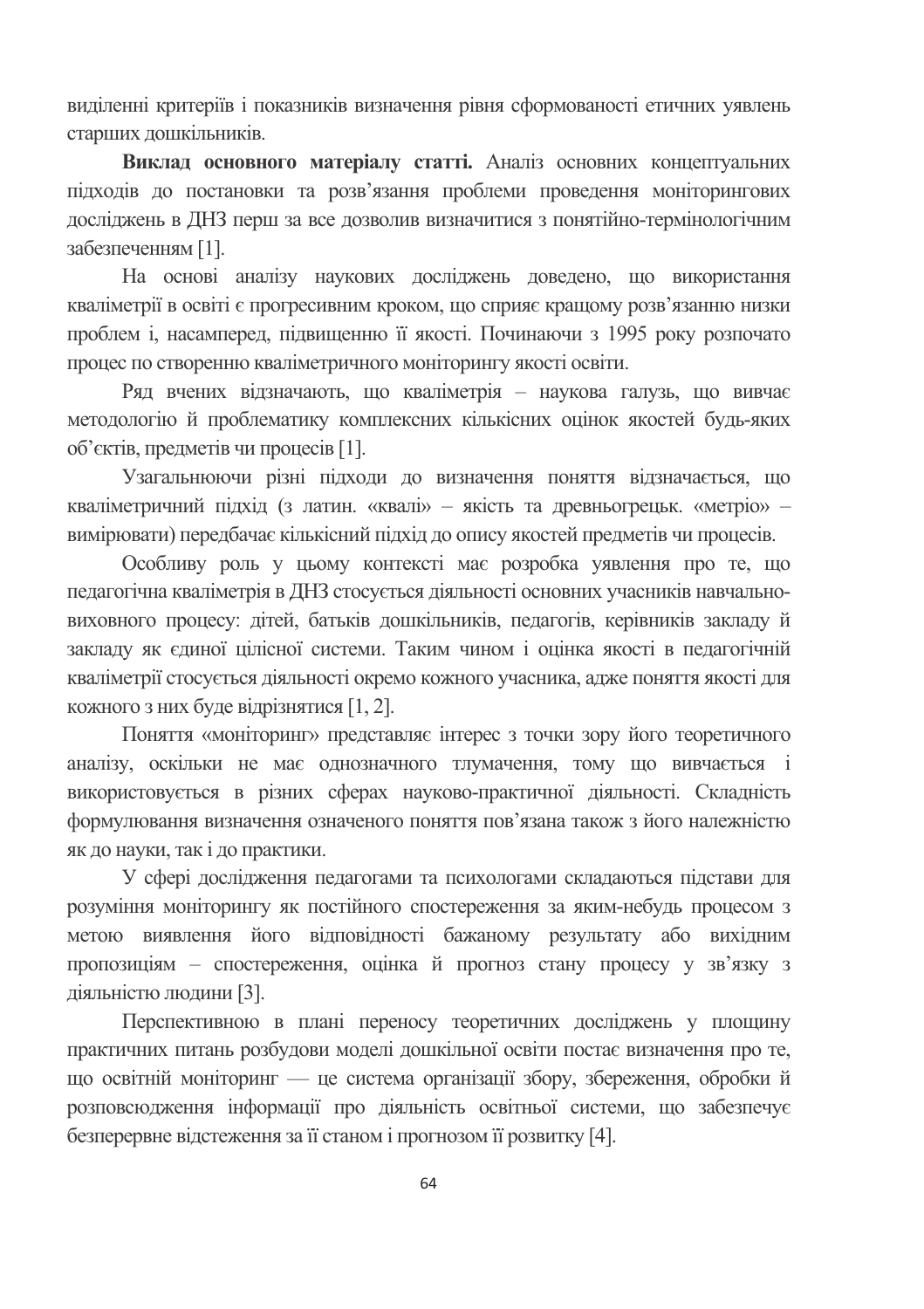виділенні критеріїв і показників визначення рівня сформованості етичних уявлень старших дошкільників.

Виклад основного матеріалу статті. Аналіз основних концептуальних підходів до постановки та розв'язання проблеми проведення моніторингових досліджень в ДНЗ перш за все дозволив визначитися з понятійно-термінологічним забезпеченням [1].

На основі аналізу наукових досліджень доведено, що використання кваліметрії в освіті є прогресивним кроком, що сприяє кращому розв'язанню низки проблем і, насамперед, підвищенню її якості. Починаючи з 1995 року розпочато процес по створенню кваліметричного моніторингу якості освіти.

Ряд вчених відзначають, що кваліметрія - наукова галузь, що вивчає методологію й проблематику комплексних кількісних оцінок якостей будь-яких об'єктів, предметів чи процесів [1].

Узагальнюючи різні підходи до визначення поняття відзначається, що кваліметричний підхід (з латин. «квалі» - якість та древньогрецьк. «метріо» вимірювати) передбачає кількісний підхід до опису якостей предметів чи процесів.

Особливу роль у цьому контексті має розробка уявлення про те, що педагогічна кваліметрія в ДНЗ стосується діяльності основних учасників навчальновиховного процесу: дітей, батьків дошкільників, педагогів, керівників закладу й закладу як єдиної цілісної системи. Таким чином і оцінка якості в педагогічній кваліметрії стосується діяльності окремо кожного учасника, адже поняття якості для кожного з них буде відрізнятися [1, 2].

Поняття «моніторинг» представляє інтерес з точки зору його теоретичного аналізу, оскільки не має однозначного тлумачення, тому що вивчається і використовується в різних сферах науково-практичної діяльності. Складність формулювання визначення означеного поняття пов'язана також з його належністю як до науки, так і до практики.

У сфері дослідження педагогами та психологами складаються підстави для розуміння моніторингу як постійного спостереження за яким-небудь процесом з метою виявлення його відповідності бажаному результату або вихідним пропозиціям - спостереження, оцінка й прогноз стану процесу у зв'язку з діяльністю людини [3].

Перспективною в плані переносу теоретичних досліджень у площину практичних питань розбудови моделі дошкільної освіти постає визначення про те, що освітній моніторинг — це система організації збору, збереження, обробки й розповсюдження інформації про діяльність освітньої системи, що забезпечує безперервне відстеження за її станом і прогнозом її розвитку [4].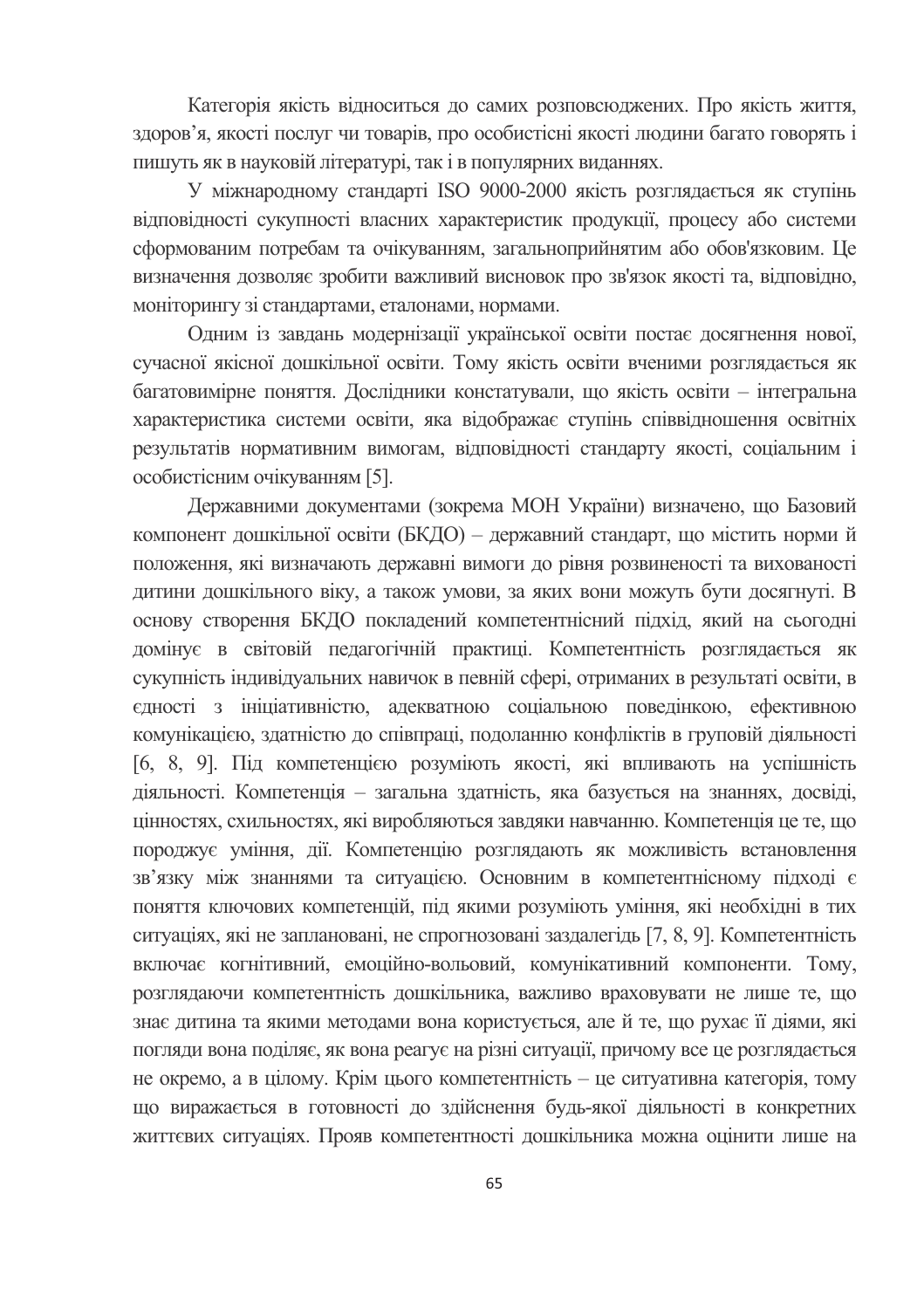Категорія якість відноситься до самих розповсюджених. Про якість життя, здоров'я, якості послуг чи товарів, про особистієні якості людини багато говорять і пишуть як в науковій літературі, так і в популярних виданнях.

У міжнародному стандарті ISO 9000-2000 якість розглядається як ступінь відповідності сукупності власних характеристик продукції, процесу або системи сформованим потребам та очікуванням, загальноприйнятим або обов'язковим. Це визначення дозволяє зробити важливий висновок про зв'язок якості та, відповідно, моніторингу зі стандартами, еталонами, нормами.

Одним із завдань модернізації української освіти постає досягнення нової, сучасної якісної дошкільної освіти. Тому якість освіти вченими розглядається як багатовимірне поняття. Дослідники констатували, що якість освіти - інтегральна характеристика системи освіти, яка відображає ступінь співвідношення освітніх результатів нормативним вимогам, відповідності стандарту якості, соціальним і особистісним очікуванням [5].

Державними документами (зокрема МОН України) визначено, що Базовий компонент дошкільної освіти (БКДО) - державний стандарт, що містить норми й положення, які визначають державні вимоги до рівня розвиненості та вихованості дитини дошкільного віку, а також умови, за яких вони можуть бути досягнуті. В основу створення БКДО покладений компетентнісний підхід, який на сьогодні домінує в світовій педагогічній практиці. Компетентність розглядається як сукупність індивідуальних навичок в певній сфері, отриманих в результаті освіти, в єдності з ініціативністю, адекватною соціальною поведінкою, ефективною комунікацією, здатністю до співпраці, подоланню конфліктів в груповій діяльності [6, 8, 9]. Під компетенцією розуміють якості, які впливають на успішність діяльності. Компетенція - загальна здатність, яка базується на знаннях, досвіді, цінностях, схильностях, які виробляються завдяки навчанню. Компетенція це те, що породжує уміння, дії. Компетенцію розглядають як можливість встановлення зв'язку між знаннями та ситуацією. Основним в компетентнісному підході є поняття ключових компетенцій, під якими розуміють уміння, які необхідні в тих ситуаціях, які не заплановані, не спрогнозовані заздалегідь [7, 8, 9]. Компетентність включає когнітивний, емоційно-вольовий, комунікативний компоненти. Тому, розглядаючи компетентність дошкільника, важливо враховувати не лише те, що знає дитина та якими методами вона користується, але й те, що рухає її діями, які погляди вона поділяє, як вона реагує на різні ситуації, причому все це розглядається не окремо, а в цілому. Крім цього компетентність - це ситуативна категорія, тому що виражається в готовності до здійснення будь-якої діяльності в конкретних життєвих ситуаціях. Прояв компетентності дошкільника можна оцінити лише на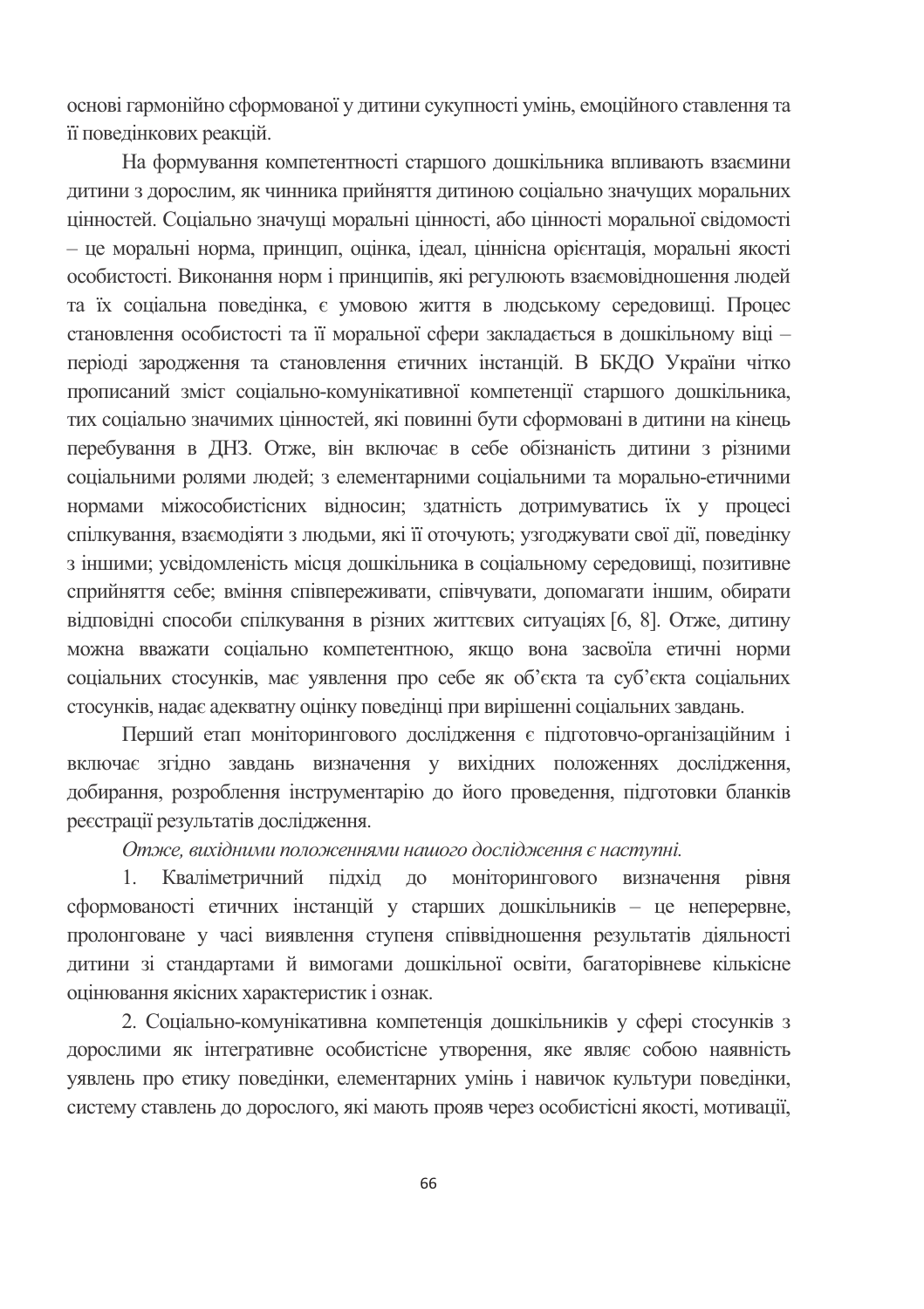основі гармонійно сформованої у дитини сукупності умінь, емоційного ставлення та її поведінкових реакцій.

На формування компетентності старшого дошкільника впливають взаємини дитини з дорослим, як чинника прийняття дитиною соціально значущих моральних цінностей. Соціально значущі моральні цінності, або цінності моральної свідомості - це моральні норма, принцип, оцінка, ідеал, ціннісна орієнтація, моральні якості особистості. Виконання норм і принципів, які регулюють взаємовідношення людей та їх соціальна поведінка, є умовою життя в людському середовищі. Процес становлення особистості та її моральної сфери закладається в дошкільному віці періоді зародження та становлення етичних інстанцій. В БКДО України чітко прописаний зміст соціально-комунікативної компетенції старшого дошкільника, тих соціально значимих цінностей, які повинні бути сформовані в дитини на кінець перебування в ДНЗ. Отже, він включає в себе обізнаність дитини з різними соціальними ролями людей; з елементарними соціальними та морально-етичними нормами міжособистісних відносин; здатність дотримуватись їх у процесі спілкування, взаємодіяти з людьми, які її оточують; узгоджувати свої дії, поведінку з іншими; усвідомленість місця дошкільника в соціальному середовищі, позитивне сприйняття себе; вміння співпереживати, співчувати, допомагати іншим, обирати відповідні способи спілкування в різних життєвих ситуаціях [6, 8]. Отже, дитину можна вважати соціально компетентною, якщо вона засвоїла етичні норми соціальних стосунків, має уявлення про себе як об'єкта та суб'єкта соціальних стосунків, надає адекватну оцінку поведінці при вирішенні соціальних завдань.

Перший етап моніторингового дослідження є підготовчо-організаційним і включає згідно завдань визначення у вихідних положеннях дослідження, добирання, розроблення інструментарію до його проведення, підготовки бланків реєстрації результатів дослідження.

Отже, вихідними положеннями нашого дослідження є наступні.

Кваліметричний підхід до моніторингового визначення 1. рівня сформованості етичних інстанцій у старших дошкільників - це неперервне, пролонговане у часі виявлення ступеня співвідношення результатів діяльності дитини зі стандартами й вимогами дошкільної освіти, багаторівневе кількісне оцінювання якісних характеристик і ознак.

2. Соціально-комунікативна компетенція дошкільників у сфері стосунків з дорослими як інтегративне особистісне утворення, яке являє собою наявність уявлень про етику поведінки, елементарних умінь і навичок культури поведінки, систему ставлень до дорослого, які мають прояв через особистісні якості, мотивації,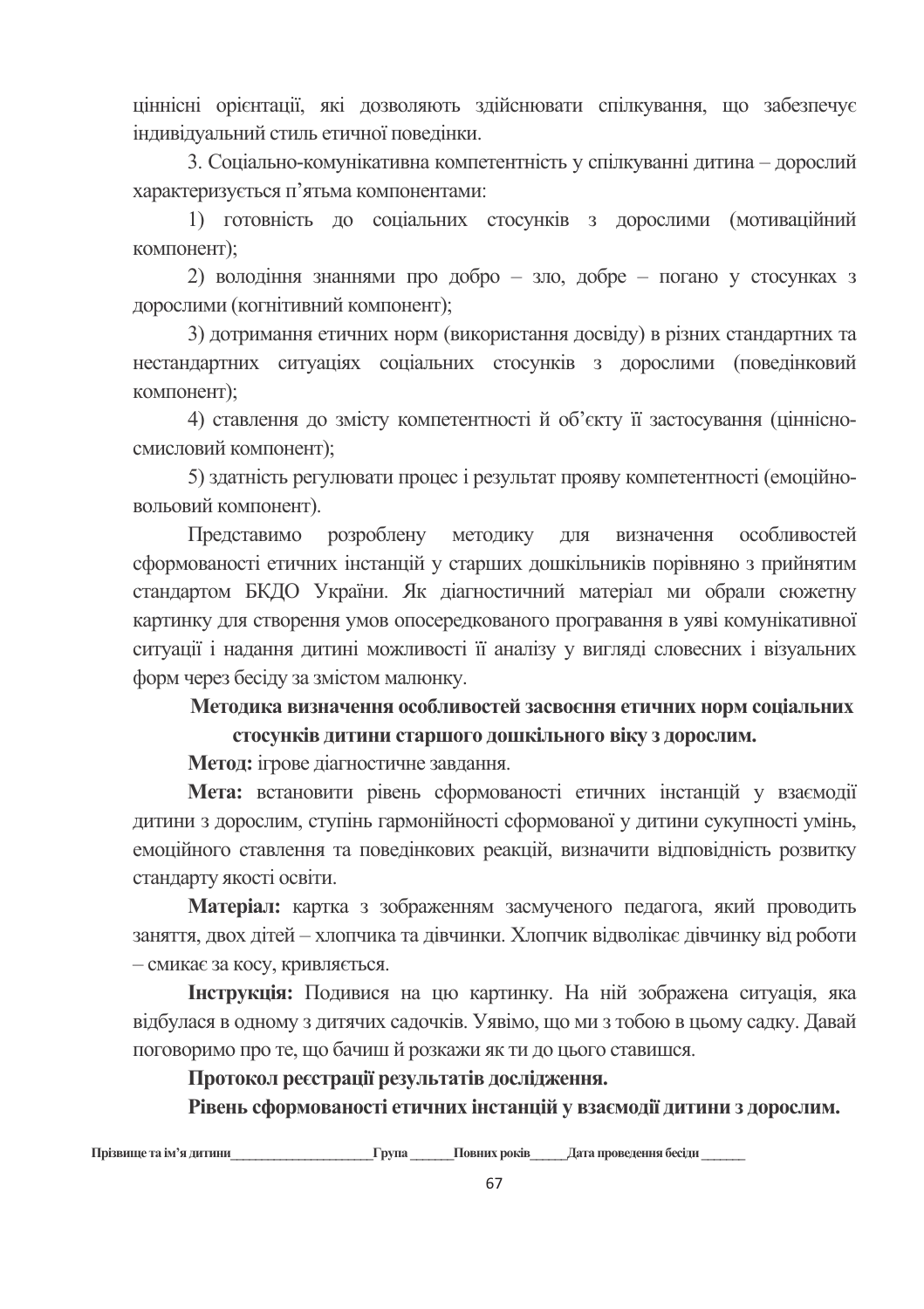ціннісні орієнтації, які дозволяють здійснювати спілкування, що забезпечує індивідуальний стиль етичної поведінки.

3. Соціально-комунікативна компетентність у спілкуванні дитина - дорослий характеризується п'ятьма компонентами:

1) готовність до соціальних стосунків з дорослими (мотиваційний компонент):

2) володіння знаннями про добро - зло, добре - погано у стосунках з лорослими (когнітивний компонент):

3) дотримання етичних норм (використання досвіду) в різних стандартних та нестандартних ситуаціях соціальних стосунків з дорослими (поведінковий компонент):

4) ставлення до змісту компетентності й об'єкту її застосування (ціннісносмисловий компонент);

5) здатність регулювати процес і результат прояву компетентності (емоційновольовий компонент).

Прелставимо розроблену методику для визначення особливостей сформованості етичних інстанцій у старших дошкільників порівняно з прийнятим стандартом БКДО України. Як діагностичний матеріал ми обрали сюжетну картинку для створення умов опосередкованого програвання в уяві комунікативної ситуації і надання дитині можливості її аналізу у вигляді словесних і візуальних форм через бесіду за змістом малюнку.

## Методика визначення особливостей засвоєння етичних норм соціальних стосунків дитини старшого дошкільного віку з дорослим.

Метод: ігрове діагностичне завдання.

Мета: встановити рівень сформованості етичних інстанцій у взаємодії дитини з дорослим, ступінь гармонійності сформованої у дитини сукупності умінь, емоційного ставлення та поведінкових реакцій, визначити відповідність розвитку стандарту якості освіти.

Матеріал: картка з зображенням засмученого педагога, який проводить заняття, двох дітей – хлопчика та дівчинки. Хлопчик відволікає дівчинку від роботи - смикає за косу, кривляється.

Інструкція: Подивися на цю картинку. На ній зображена ситуація, яка відбулася в одному з дитячих садочків. Уявімо, що ми з тобою в цьому садку. Давай поговоримо про те, що бачиш й розкажи як ти до цього ставишся.

Протокол реєстрації результатів дослідження.

Рівень сформованості етичних інстанцій у взаємодії дитини з дорослим.

```
Група Повних років Дата проведення бесіди
Прізвище та ім'я литини
```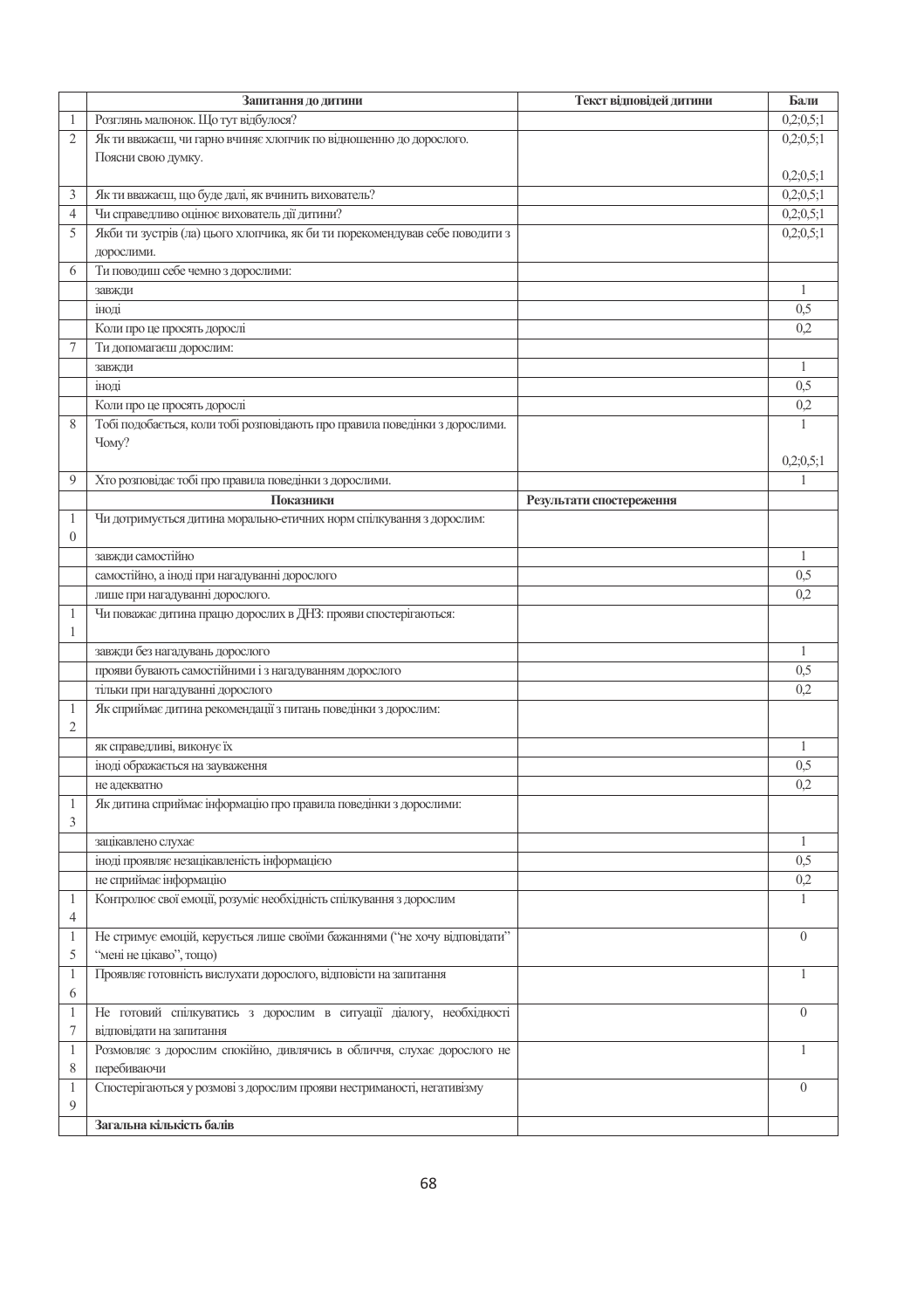|                | Запитання до дитини                                                          | Текст відповідей дитини  | Бали           |
|----------------|------------------------------------------------------------------------------|--------------------------|----------------|
| 1              | Розглянь малюнок. Що тут відбулося?                                          |                          | 0.2; 0.5; 1    |
| $\overline{c}$ | Як ти вважаєш, чи гарно вчиняє хлопчик по відношенню до дорослого.           |                          | 0,2;0,5;1      |
|                | Поясни свою думку.                                                           |                          |                |
|                |                                                                              |                          | 0.2; 0.5; 1    |
| 3              | Як ти вважаєш, що буде далі, як вчинить вихователь?                          |                          | 0.2; 0.5; 1    |
| $\overline{4}$ | Чи справедливо оцінює вихователь дії дитини?                                 |                          | 0,2;0,5;1      |
| 5              | Якби ти зустрів (ла) цього хлопчика, як би ти порекомендував себе поводити з |                          | 0,2;0,5;1      |
|                | дорослими.                                                                   |                          |                |
| 6              | Ти поводиш себе чемно з дорослими:                                           |                          |                |
|                | завжди                                                                       |                          | 1              |
|                | іноді                                                                        |                          | 0,5            |
|                | Коли про це просять дорослі                                                  |                          | 0.2            |
| 7              |                                                                              |                          |                |
|                | Ти допомагаєш дорослим:                                                      |                          | $\mathbf{1}$   |
|                | завжди                                                                       |                          |                |
|                | іноді                                                                        |                          | 0,5            |
|                | Коли про це просять дорослі                                                  |                          | 0.2            |
| 8              | Тобі подобається, коли тобі розповідають про правила поведінки з дорослими.  |                          | 1              |
|                | Чому?                                                                        |                          |                |
|                |                                                                              |                          | 0.2; 0.5; 1    |
| 9              | Хто розповідає тобі про правила поведінки з дорослими.                       |                          | 1              |
|                | Показники                                                                    | Результати спостереження |                |
| 1              | Чи дотримується дитина морально-етичних норм спілкування з дорослим:         |                          |                |
| $\mathbf{0}$   |                                                                              |                          |                |
|                | завжди самостійно                                                            |                          | $\mathbf{1}$   |
|                | самостійно, а іноді при нагадуванні дорослого                                |                          | 0.5            |
|                | лише при нагадуванні дорослого.                                              |                          | 0.2            |
| 1              | Чи поважає дитина працю дорослих в ДНЗ: прояви спостерігаються:              |                          |                |
| 1              |                                                                              |                          |                |
|                | завжди без нагадувань дорослого                                              |                          | 1              |
|                | прояви бувають самостійними і з нагадуванням дорослого                       |                          | 0.5            |
|                | тільки при нагадуванні дорослого                                             |                          | 0.2            |
| $\mathbf 1$    | Як сприймає дитина рекомендації з питань поведінки з дорослим:               |                          |                |
| $\overline{c}$ |                                                                              |                          |                |
|                | як справедливі, виконує їх                                                   |                          | 1              |
|                | іноді ображається на зауваження                                              |                          | 0,5            |
|                | не адекватно                                                                 |                          | 0.2            |
| 1              | Як дитина сприймає інформацію про правила поведінки з дорослими:             |                          |                |
| 3              |                                                                              |                          |                |
|                | зацікавлено слухає                                                           |                          | $\mathbf{1}$   |
|                | іноді проявляє незацікавленість інформацією                                  |                          | 0,5            |
|                | не сприймає інформацію                                                       |                          | 0.2            |
| 1              | Контролює свої емоції, розуміє необхідність спілкування з дорослим           |                          | $\mathbf{1}$   |
| $\overline{4}$ |                                                                              |                          |                |
| 1              | Не стримує емоцій, керується лише своїми бажаннями ("не хочу відповідати"    |                          | $\overline{0}$ |
| 5              | "мені не цікаво", тощо)                                                      |                          |                |
| 1              | Проявляє готовність вислухати дорослого, відповісти на запитання             |                          | 1              |
| 6              |                                                                              |                          |                |
| $\mathbf{1}$   |                                                                              |                          | $\overline{0}$ |
| 7              | Не готовий спілкуватись з дорослим в ситуації діалогу, необхідності          |                          |                |
| 1              | відповідати на запитання                                                     |                          | 1              |
| 8              | Розмовляє з дорослим спокійно, дивлячись в обличчя, слухає дорослого не      |                          |                |
|                | перебиваючи                                                                  |                          | $\theta$       |
| $\mathbf 1$    | Спостерігаються у розмові з дорослим прояви нестриманості, негативізму       |                          |                |
| 9              |                                                                              |                          |                |
|                | Загальна кількість балів                                                     |                          |                |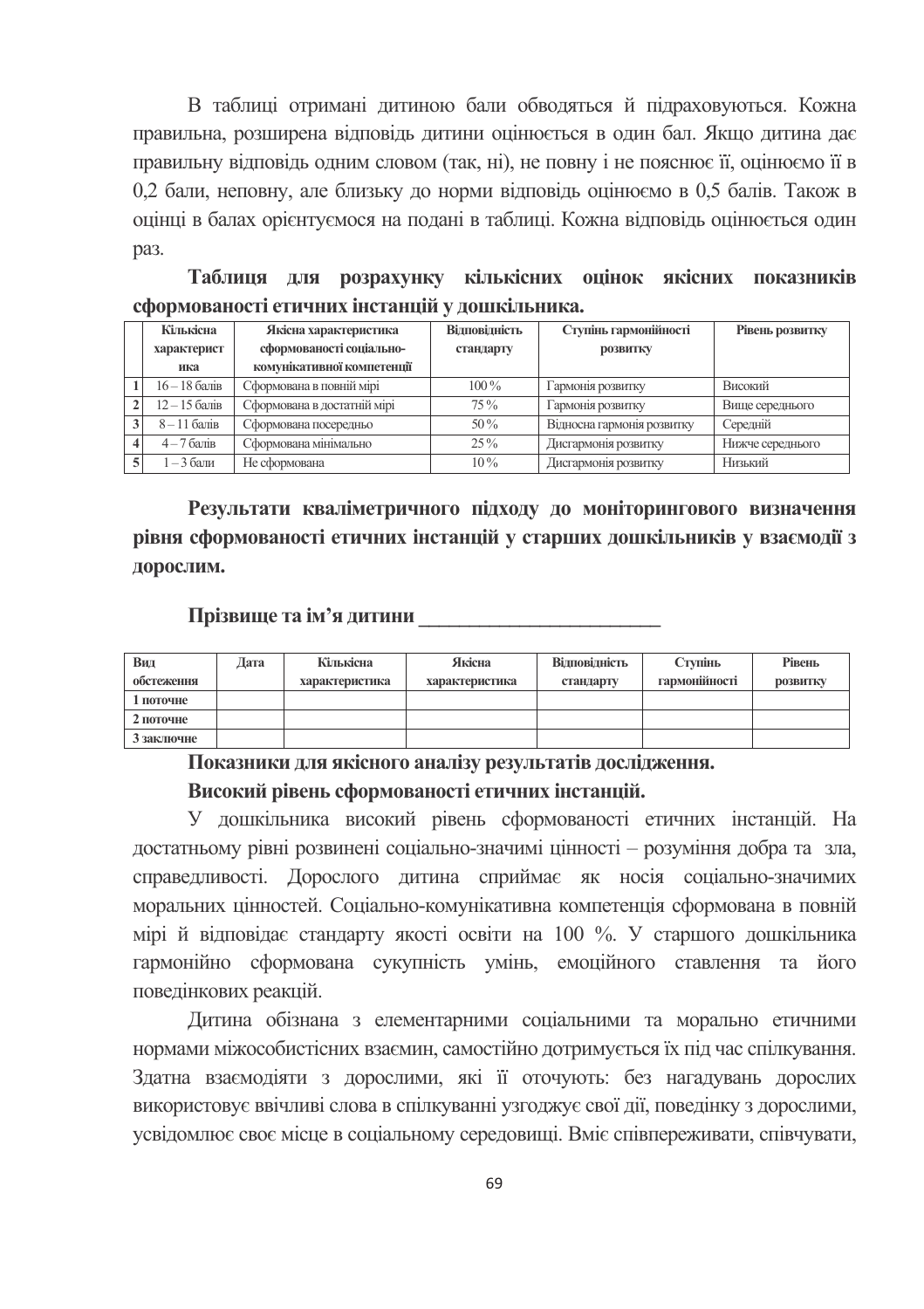В таблиці отримані дитиною бали обводяться й підраховуються. Кожна правильна, розширена відповідь дитини оцінюється в один бал. Якщо дитина дає правильну відповідь одним словом (так, ні), не повну і не пояснює її, оцінюємо її в 0,2 бали, неповну, але близьку до норми відповідь оцінюємо в 0,5 балів. Також в оцінці в балах орієнтуємося на подані в таблиці. Кожна відповідь оцінюється один раз.

Таблиця для розрахунку кількісних оцінок якісних показників сформованості етичних інстанцій у дошкільника.

| Кількісна       | Якісна характеристика       |           | Ступінь гармонійності      | Рівень розвитку  |  |
|-----------------|-----------------------------|-----------|----------------------------|------------------|--|
| характерист     | сформованості соціально-    | стандарту | розвитку                   |                  |  |
| ика             | комунікативної компетенції  |           |                            |                  |  |
| $16 - 18$ балів | Сформована в повній мірі    | $100\%$   | Гармонія розвитку          | Високий          |  |
| $12 - 15$ балів | Сформована в достатній мірі | 75%       | Гармонія розвитку          | Вище середнього  |  |
| $8 - 11$ балів  | Сформована посередньо       | $50\%$    | Відносна гармонія розвитку | Середній         |  |
| $4-7$ балів     | Сформована мінімально       | $25\%$    | Дисгармонія розвитку       | Нижче середнього |  |
| $1-3$ бали      | Не сформована               | $10\%$    | Дисгармонія розвитку       | Низький          |  |

Результати кваліметричного підходу до моніторингового визначення рівня сформованості етичних інстанцій у старших дошкільників у взаємодії з дорослим.

#### Прізвище та ім'я дитини

| Вид        | Дата | Кількісна      | Якісна         | Вілповілність | Ступінь       | Рівень          |
|------------|------|----------------|----------------|---------------|---------------|-----------------|
| обстеження |      | характеристика | характеристика | стандарту     | гармонійності | <b>DO3BHTKV</b> |
| 1 поточне  |      |                |                |               |               |                 |
| 2 поточне  |      |                |                |               |               |                 |
| 3 заключне |      |                |                |               |               |                 |

## Показники для якісного аналізу результатів дослідження. Високий рівень сформованості етичних інстанцій.

У дошкільника високий рівень сформованості етичних інстанцій. На достатньому рівні розвинені соціально-значимі цінності - розуміння добра та зла, справедливості. Дорослого дитина сприймає як носія соціально-значимих моральних цінностей. Соціально-комунікативна компетенція сформована в повній мірі й відповідає стандарту якості освіти на 100 %. У старшого дошкільника гармонійно сформована сукупність умінь, емоційного ставлення та його поведінкових реакцій.

Дитина обізнана з елементарними соціальними та морально етичними нормами міжособистісних взаємин, самостійно дотримується їх під час спілкування. Здатна взаємодіяти з дорослими, які її оточують: без нагадувань дорослих використовує ввічливі слова в спілкуванні узгоджує свої дії, поведінку з дорослими, усвідомлює своє місце в соціальному середовищі. Вміє співпереживати, співчувати,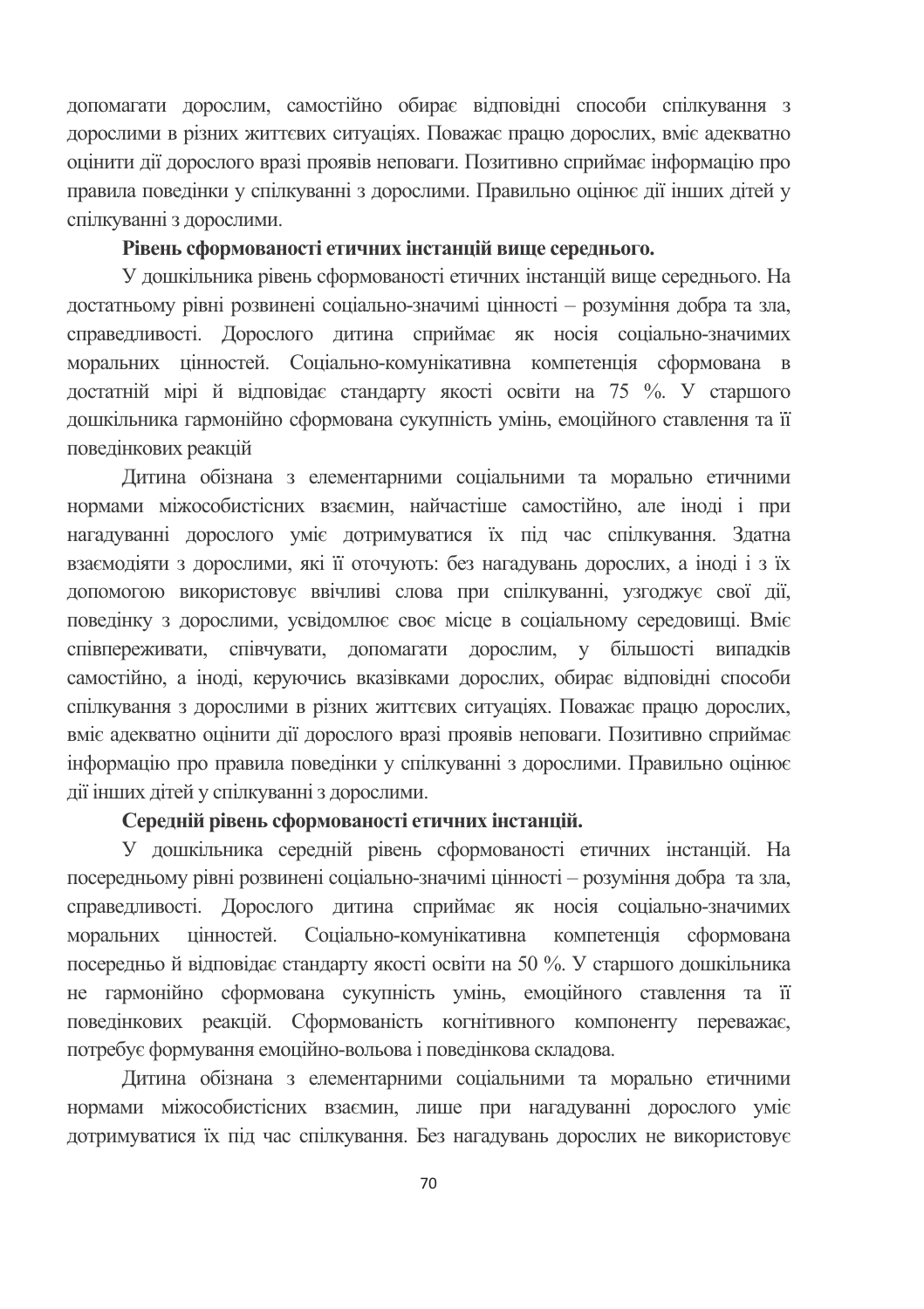допомагати дорослим, самостійно обирає відповідні способи спілкування з дорослими в різних життєвих ситуаціях. Поважає працю дорослих, вміє адекватно оцінити дії дорослого вразі проявів неповаги. Позитивно сприймає інформацію про правила поведінки у спілкуванні з дорослими. Правильно оцінює дії інших дітей у спілкуванні з дорослими.

## Рівень сформованості етичних інстанцій вище середнього.

У дошкільника рівень сформованості етичних інстанцій вище середнього. На лостатньому рівні розвинені соціально-значимі цінності - розуміння лобра та зла. справедливості. Дорослого дитина сприймає як носія соціально-значимих моральних цінностей. Соціально-комунікативна компетенція сформована в достатній мірі й відповідає стандарту якості освіти на 75 %. У старшого дошкільника гармонійно сформована сукупність умінь, емоційного ставлення та її поведінкових реакцій

Дитина обізнана з елементарними соціальними та морально етичними нормами міжособистісних взаємин, найчастіше самостійно, але іноді і при нагадуванні дорослого уміє дотримуватися їх під час спілкування. Здатна взаємодіяти з дорослими, які її оточують: без нагадувань дорослих, а іноді і з їх допомогою використовує ввічливі слова при спілкуванні, узгоджує свої дії, поведінку з дорослими, усвідомлює своє місце в соціальному середовищі. Вміє співпереживати, співчувати, допомагати дорослим, у більшості випадків самостійно, а іноді, керуючись вказівками дорослих, обирає відповідні способи спілкування з дорослими в різних життєвих ситуаціях. Поважає працю дорослих, вміє адекватно оцінити дії дорослого вразі проявів неповаги. Позитивно сприймає інформацію про правила поведінки у спілкуванні з дорослими. Правильно оцінює дії інших дітей у спілкуванні з дорослими.

#### Середній рівень сформованості етичних інстанцій.

У дошкільника середній рівень сформованості етичних інстанцій. На посередньому рівні розвинені соціально-значимі цінності - розуміння добра та зла, справедливості. Дорослого дитина сприймає як носія соціально-значимих цінностей. Соціально-комунікативна компетенція сформована моральних посередньо й відповідає стандарту якості освіти на 50 %. У старшого дошкільника не гармонійно сформована сукупність умінь, емоційного ставлення та її поведінкових реакцій. Сформованість когнітивного компоненту переважає, потребує формування емоційно-вольова і поведінкова складова.

Дитина обізнана з елементарними соціальними та морально етичними нормами міжособистісних взаємин, лише при нагадуванні дорослого уміє дотримуватися їх під час спілкування. Без нагадувань дорослих не використовує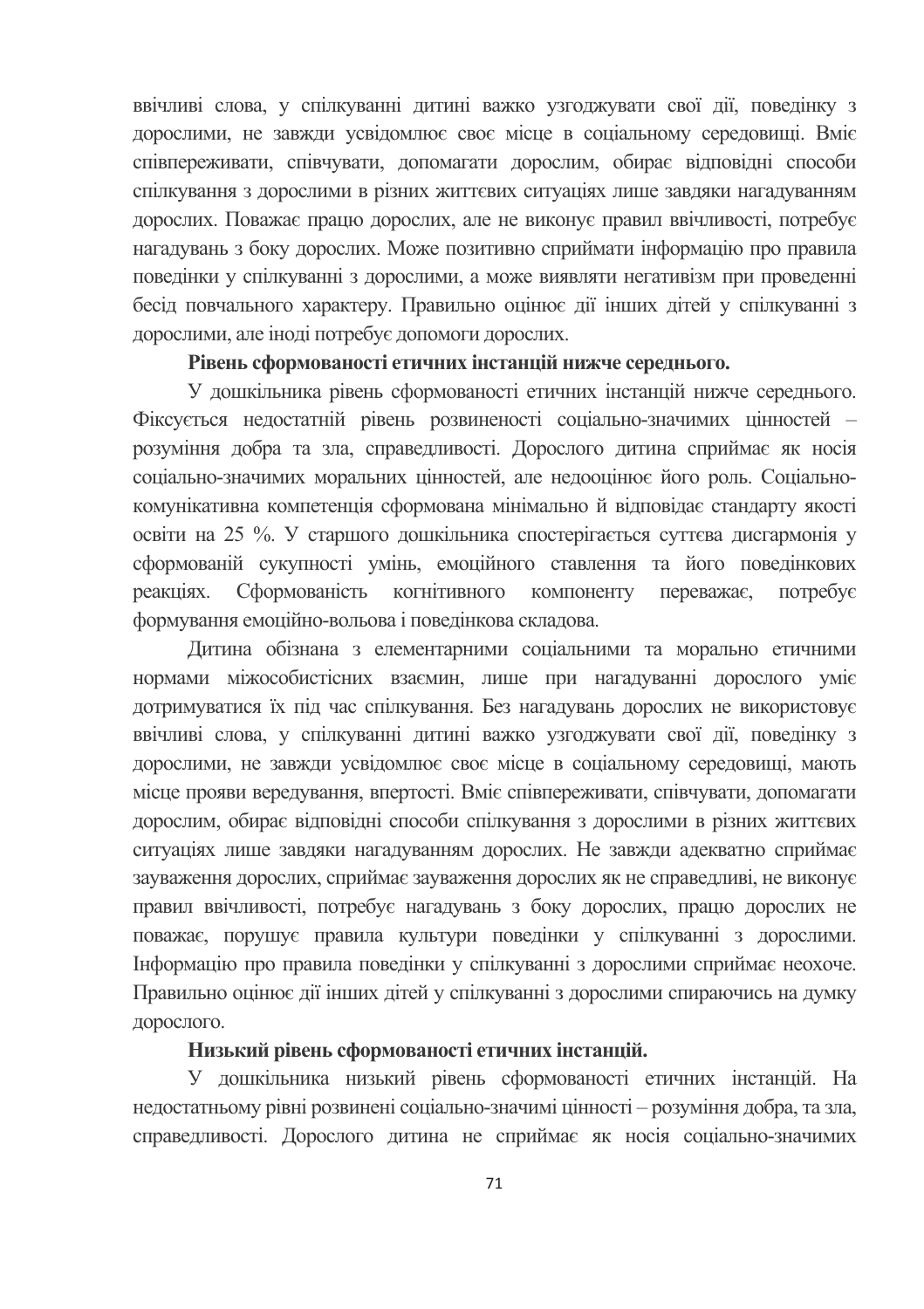ввічливі слова, у спілкуванні дитині важко узгоджувати свої дії, поведінку з дорослими, не завжди усвідомлює своє місце в соціальному середовищі. Вміє співпереживати, співчувати, допомагати дорослим, обирає відповідні способи спілкування з дорослими в різних життєвих ситуаціях лише завдяки нагадуванням дорослих. Поважає працю дорослих, але не виконує правил ввічливості, потребує нагадувань з боку дорослих. Може позитивно сприймати інформацію про правила поведінки у спілкуванні з дорослими, а може виявляти негативізм при проведенні бесіл повчального характеру. Правильно оцінює дії інших дітей у спілкуванні з дорослими, але іноді потребує допомоги дорослих.

#### Рівень сформованості етичних інстанцій нижче середнього.

У дошкільника рівень сформованості етичних інстанцій нижче середнього. Фіксується недостатній рівень розвиненості соціально-значимих цінностей розуміння добра та зла, справедливості. Дорослого дитина сприймає як носія соціально-значимих моральних цінностей, але недооцінює його роль. Соціальнокомунікативна компетенція сформована мінімально й відповідає стандарту якості освіти на 25 %. У старшого дошкільника спостерігається суттєва дистармонія у сформованій сукупності умінь, емоційного ставлення та його поведінкових реакціях. Сформованість когнітивного компоненту переважає, потребує формування емоційно-вольова і поведінкова складова.

Дитина обізнана з елементарними соціальними та морально етичними нормами міжособистісних взаємин, лише при нагадуванні дорослого уміє дотримуватися їх під час спілкування. Без нагадувань дорослих не використовує ввічливі слова, у спілкуванні дитині важко узгоджувати свої дії, поведінку з дорослими, не завжди усвідомлює своє місце в соціальному середовищі, мають місце прояви вередування, впертості. Вміє співпереживати, співчувати, допомагати дорослим, обирає відповідні способи спілкування з дорослими в різних життєвих ситуациях лише завдяки нагадуванням дорослих. Не завжди адекватно сприймає зауваження дорослих, сприймає зауваження дорослих як не справедливі, не виконує правил ввічливості, потребує нагадувань з боку дорослих, працю дорослих не поважає, порушує правила культури поведінки у спілкуванні з дорослими. Інформацію про правила поведінки у спілкуванні з дорослими сприймає неохоче. Правильно оцінює дії інших дітей у спілкуванні з дорослими спираючись на думку дорослого.

#### Низький рівень сформованості етичних інстанцій.

У дошкільника низький рівень сформованості етичних інстанцій. На недостатньому рівні розвинені соціально-значимі цінності - розуміння добра, та зла, справедливості. Дорослого дитина не сприймає як носія соціально-значимих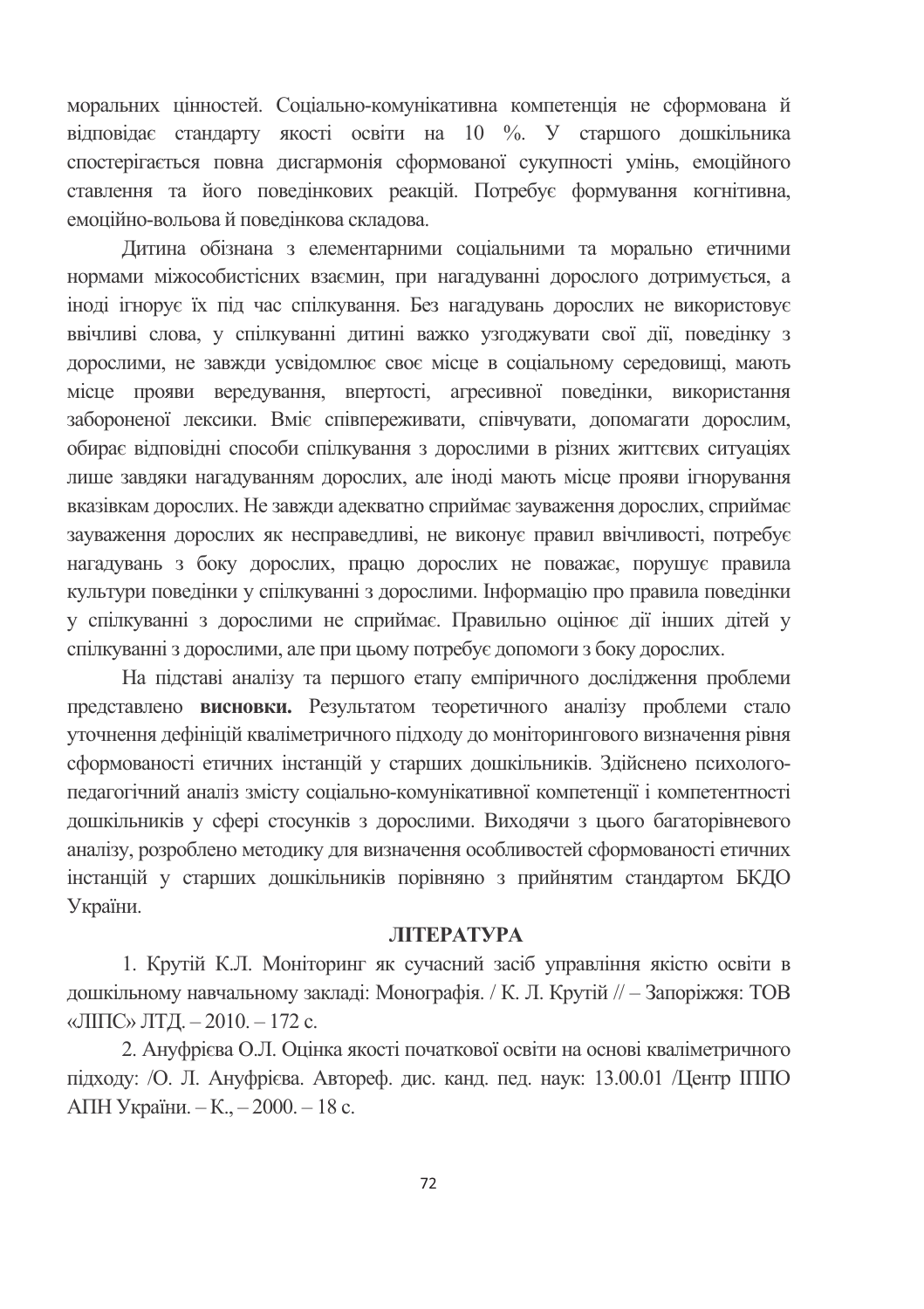моральних цінностей. Соціально-комунікативна компетенція не сформована й відповідає стандарту якості освіти на 10 %. У старшого дошкільника спостерігається повна дисгармонія сформованої сукупності умінь, емоційного ставлення та його поведінкових реакцій. Потребує формування когнітивна, емонійно-вольова й повелінкова склалова.

Дитина обізнана з елементарними соціальними та морально етичними нормами міжособистісних взаємин, при нагадуванні дорослого дотримується, а інолі ігнорує їх піл час спілкування. Без нагалувань дорослих не використовує ввічливі слова, у спілкуванні дитині важко узгоджувати свої дії, поведінку з дорослими, не завжди усвідомлює своє місце в соціальному середовищі, мають місце прояви вередування, впертості, агресивної поведінки, використання забороненої лексики. Вміє співпереживати, співчувати, допомагати дорослим, обирає відповідні способи спілкування з дорослими в різних життєвих ситуаціях лише завдяки нагадуванням дорослих, але іноді мають місце прояви ігнорування вказівкам дорослих. Не завжди адекватно сприймає зауваження дорослих, сприймає зауваження дорослих як несправедливі, не виконує правил ввічливості, потребує нагадувань з боку дорослих, працю дорослих не поважає, порушує правила культури поведінки у спілкуванні з дорослими. Інформацію про правила поведінки у спілкуванні з дорослими не сприймає. Правильно оцінює дії інших дітей у спілкуванні з дорослими, але при цьому потребує допомоги з боку дорослих.

На підставі аналізу та першого етапу емпіричного дослідження проблеми представлено висновки. Результатом теоретичного аналізу проблеми стало уточнення дефініцій кваліметричного підходу до моніторингового визначення рівня сформованості етичних інстанцій у старших дошкільників. Здійснено психологопедагогічний аналіз змісту соціально-комунікативної компетенції і компетентності дошкільників у сфері стосунків з дорослими. Виходячи з цього багаторівневого аналізу, розроблено методику для визначення особливостей сформованості етичних інстанцій у старших дошкільників порівняно з прийнятим стандартом БКДО України.

#### **ЛІТЕРАТУРА**

1. Крутій К.Л. Моніторинг як сучасний засіб управління якістю освіти в дошкільному навчальному закладі: Монографія. / К. Л. Крутій // - Запоріжжя: ТОВ «ЛІПС» ЛТД. - 2010. - 172 с.

2. Ануфрієва О.Л. Оцінка якості початкової освіти на основі кваліметричного підходу: /О. Л. Ануфрієва. Автореф. дис. канд. пед. наук: 13.00.01 /Центр ШПО АПН України. - К., - 2000. - 18 с.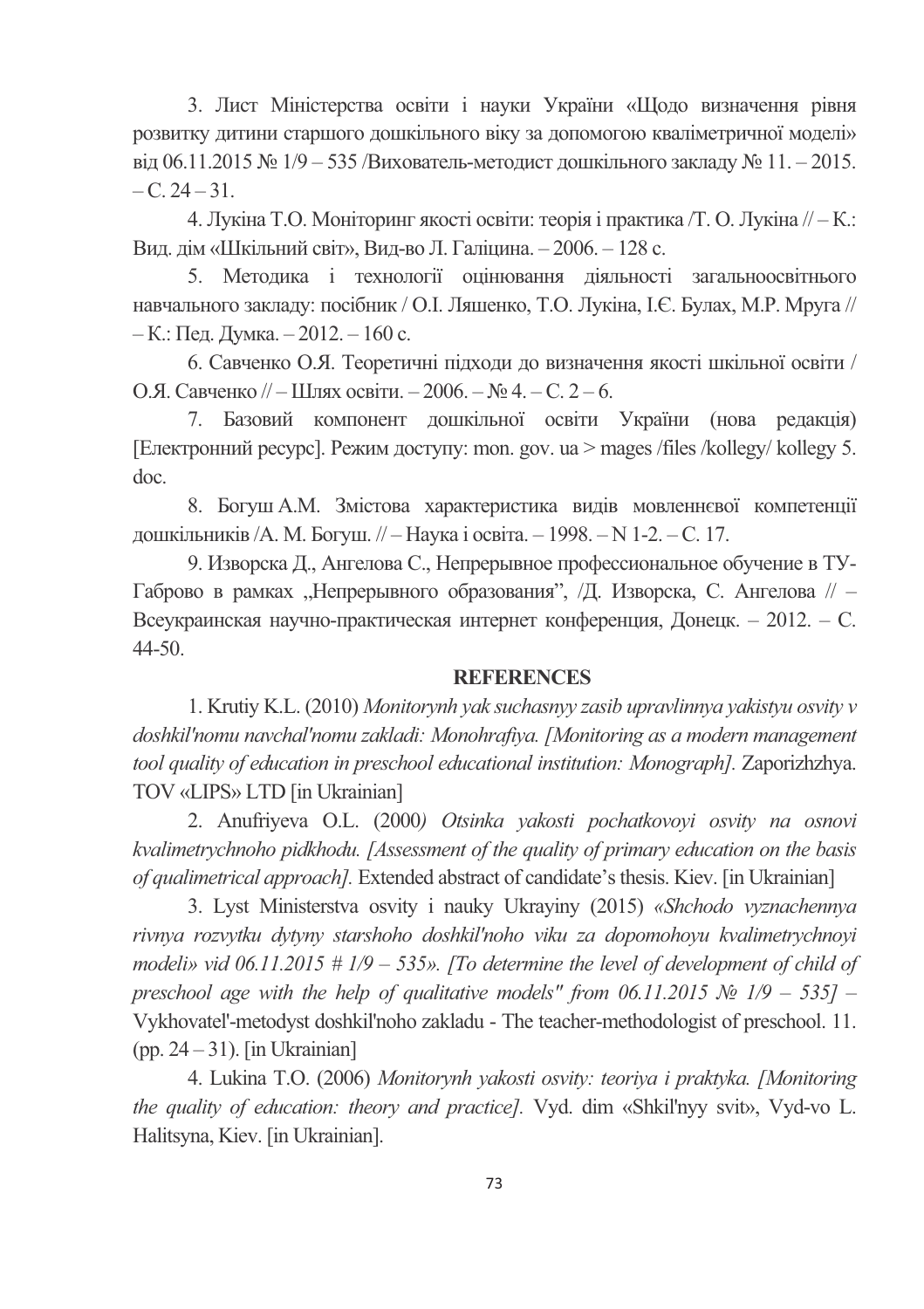3. Лист Міністерства освіти і науки України «Щодо визначення рівня розвитку дитини старшого дошкільного віку за допомогою кваліметричної моделі» від 06.11.2015 № 1/9 – 535 /Вихователь-методист дошкільного закладу № 11. – 2015.  $- C_2 24 - 31.$ 

4. Лукіна Т.О. Моніторинг якості освіти: теорія і практика /Т. О. Лукіна // – К.: Вид. дім «Шкільний світ», Вид-во Л. Галіцина. – 2006. – 128 с.

5. Методика і технології оцінювання діяльності загальноосвітнього навчального закладу: посібник / О.І. Ляшенко, Т.О. Лукіна, І.Є. Булах, М.Р. Мруга // – К.: Пед. Думка. – 2012. – 160 с.

6. Савченко О.Я. Теоретичні підходи до визначення якості шкільної освіти / О.Я. Савченко // – Шлях освіти. – 2006. – № 4. – С. 2 – 6.

7. Базовий компонент дошкільної освіти України (нова редакція) [Електронний ресурс]. Режим доступу: mon. gov. ua > mages /files /kollegy/ kollegy 5. doc.

8. Богуш А.М. Змістова характеристика видів мовленнєвої компетенції дошкільників /А. М. Богуш. // – Наука і освіта. — 1998. — N 1-2. — С. 17.

9. Изворска Д., Ангелова С., Непрерывное профессиональное обучение в ТУ-Габрово в рамках "Непрерывного образования", /Д. Изворска, С. Ангелова // -Всеукраинская научно-практическая интернет конференция, Донецк. – 2012. – С. 44-50.

#### **REFERENCES**

1. Krutiy K.L. (2010) *Monitorynh yak suchasnyy zasib upravlinnya yakistyu osvity v doshkil'nomu navchal'nomu zakladi: Monohrafiya. [Monitoring as a modern management tool quality of education in preschool educational institution: Monograph].* Zaporizhzhya. TOV «LIPS» LTD [in Ukrainian]

2. Anufriyeva O.L. (2000*) Otsinka yakosti pochatkovoyi osvity na osnovi kvalimetrychnoho pidkhodu. [Assessment of the quality of primary education on the basis of qualimetrical approach].* Extended abstract of candidate's thesis. Kiev. [in Ukrainian]

3. Lyst Ministerstva osvity i nauky Ukrayiny (2015) *«Shchodo vyznachennya rivnya rozvytku dytyny starshoho doshkil'noho viku za dopomohoyu kvalimetrychnoyi modeli» vid 06.11.2015 # 1/9 – 535». [To determine the level of development of child of preschool age with the help of qualitative models" from 06.11.2015*  $\mathcal{N}_2$  *1/9 – 535] –* Vykhovatel'-metodyst doshkil'noho zakladu - The teacher-methodologist of preschool. 11. (pp. 24 – 31). [in Ukrainian]

4. Lukina T.O. (2006) *Monitorynh yakosti osvity: teoriya i praktyka. [Monitoring the quality of education: theory and practice].* Vyd. dim «Shkil'nyy svit», Vyd-vo L. Halitsyna, Kiev. [in Ukrainian].